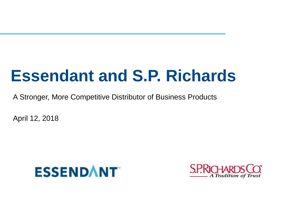# **Essendant and S.P. Richards**

A Stronger, More Competitive Distributor of Business Products

April 12, 2018



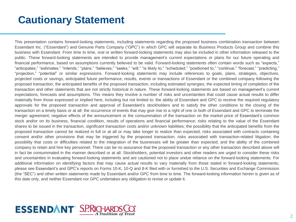# **Cautionary Statement**

This presentation contains forward-looking statements, including statements regarding the proposed business combination transaction between Essendant Inc. ("Essendant") and Genuine Parts Company ("GPC") in which GPC will separate its Business Products Group and combine this business with Essendant. From time to time, oral or written forward-looking statements may also be included in other information released to the public. These forward-looking statements are intended to provide management's current expectations or plans for our future operating and financial performance, based on assumptions currently believed to be valid. Forward-looking statements often contain words such as "expects," "anticipates," "estimates," "intends," "plans," "believes," "seeks," "will," "is likely to," "scheduled," "positioned to," "continue," "forecast," "predicting," "projection," "potential" or similar expressions. Forward-looking statements may include references to goals, plans, strategies, objectives, projected costs or savings, anticipated future performance, results, events or transactions of Essendant or the combined company following the proposed transaction, the anticipated benefits of the proposed transaction, including estimated synergies, the expected timing of completion of the transaction and other statements that are not strictly historical in nature. These forward-looking statements are based on management's current expectations, forecasts and assumptions. This means they involve a number of risks and uncertainties that could cause actual results to differ materially from those expressed or implied here, including but not limited to: the ability of Essendant and GPC to receive the required regulatory approvals for the proposed transaction and approval of Essendant's stockholders and to satisfy the other conditions to the closing of the transaction on a timely basis or at all; the occurrence of events that may give rise to a right of one or both of Essendant and GPC to terminate the merger agreement; negative effects of the announcement or the consummation of the transaction on the market price of Essendant's common stock and/or on its business, financial condition, results of operations and financial performance; risks relating to the value of the Essendant shares to be issued in the transaction, significant transaction costs and/or unknown liabilities; the possibility that the anticipated benefits from the proposed transaction cannot be realized in full or at all or may take longer to realize than expected; risks associated with contracts containing consent and/or other provisions that may be triggered by the proposed transaction; risks associated with transaction-related litigation; the possibility that costs or difficulties related to the integration of the businesses will be greater than expected; and the ability of the combined company to retain and hire key personnel. There can be no assurance that the proposed transaction or any other transaction described above will in fact be consummated in the manner described or at all. Stockholders, potential investors and other readers are urged to consider these risks and uncertainties in evaluating forward-looking statements and are cautioned not to place undue reliance on the forward-looking statements. For additional information on identifying factors that may cause actual results to vary materially from those stated in forward-looking statements, please see Essendant's and GPC's reports on Forms 10-K, 10-Q and 8-K filed with or furnished to the U.S. Securities and Exchange Commission (the "SEC") and other written statements made by Essendant and/or GPC from time to time. The forward-looking information herein is given as of this date only, and neither Essendant nor GPC undertakes any obligation to revise or update it.

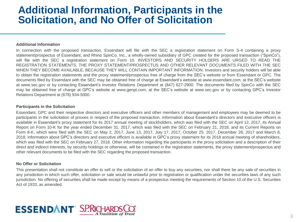### **Additional Information, Participants in the Solicitation, and No Offer of Solicitation**

#### **Additional Information**

In connection with the proposed transaction, Essendant will file with the SEC a registration statement on Form S-4 containing a proxy statement/prospectus of Essendant, and Rhino SpinCo, Inc., a wholly-owned subsidiary of GPC created for the proposed transaction ("SpinCo"), will file with the SEC a registration statement on Form 10. INVESTORS AND SECURITY HOLDERS ARE URGED TO READ THE REGISTRATION STATEMENTS, THE PROXY STATEMENT/PROSPECTUS AND OTHER RELEVANT DOCUMENTS FILED WITH THE SEC WHEN THEY BECOME AVAILABLE, BECAUSE THEY WILL CONTAIN IMPORTANT INFORMATION. Investors and security holders will be able to obtain the registration statements and the proxy statement/prospectus free of charge from the SEC's website or from Essendant or GPC. The documents filed by Essendant with the SEC may be obtained free of charge at Essendant's website at www.essendant.com, at the SEC's website at www.sec.gov or by contacting Essendant's Investor Relations Department at (847) 627-2900. The documents filed by SpinCo with the SEC may be obtained free of charge at GPC's website at www.genpt.com, at the SEC's website at www.sec.gov or by contacting GPC's Investor Relations Department at (678) 934-5000.

#### **Participants in the Solicitation**

Essendant, GPC and their respective directors and executive officers and other members of management and employees may be deemed to be participants in the solicitation of proxies in respect of the proposed transaction. Information about Essendant's directors and executive officers is available in Essendant's proxy statement for its 2017 annual meeting of stockholders, which was filed with the SEC on April 12, 2017, its Annual Report on Form 10-K for the year ended December 31, 2017, which was filed with the SEC on February 21, 2018, and its Current Reports on Form 8-K, which were filed with the SEC on May 2, 2017, June 13, 2017, July 17, 2017, October 25, 2017, December 28, 2017 and March 8, 2018. Information about GPC's directors and executive officers is available in GPC's proxy statement for its 2018 annual meeting of shareholders, which was filed with the SEC on February 27, 2018. Other information regarding the participants in the proxy solicitation and a description of their direct and indirect interests, by security holdings or otherwise, will be contained in the registration statements, the proxy statement/prospectus and other relevant documents to be filed with the SEC regarding the proposed transaction.

#### **No Offer or Solicitation**

This presentation shall not constitute an offer to sell or the solicitation of an offer to buy any securities, nor shall there be any sale of securities in any jurisdiction in which such offer, solicitation or sale would be unlawful prior to registration or qualification under the securities laws of any such jurisdiction. No offering of securities shall be made except by means of a prospectus meeting the requirements of Section 10 of the U.S. Securities Act of 1933, as amended.

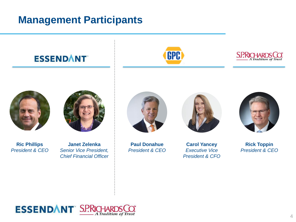# **Management Participants**

**ESSENDANT** 







**Ric Phillips** *President & CEO*



**Janet Zelenka** *Senior Vice President, Chief Financial Officer*



**Paul Donahue** *President & CEO*



**Carol Yancey** *Executive Vice President & CFO*



**Rick Toppin** *President & CEO*

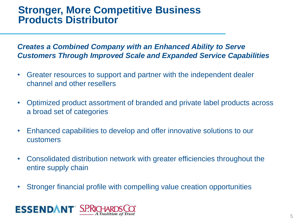### **Stronger, More Competitive Business Products Distributor**

#### *Creates a Combined Company with an Enhanced Ability to Serve Customers Through Improved Scale and Expanded Service Capabilities*

- Greater resources to support and partner with the independent dealer channel and other resellers
- Optimized product assortment of branded and private label products across a broad set of categories
- Enhanced capabilities to develop and offer innovative solutions to our customers
- Consolidated distribution network with greater efficiencies throughout the entire supply chain
- Stronger financial profile with compelling value creation opportunities

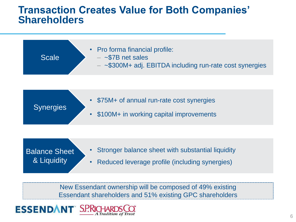#### **Transaction Creates Value for Both Companies' Shareholders**

| • Pro forma financial profile:<br>$-$ ~\$7B net sales<br><b>Scale</b><br>$-$ ~\$300M+ adj. EBITDA including run-rate cost synergies |
|-------------------------------------------------------------------------------------------------------------------------------------|
|-------------------------------------------------------------------------------------------------------------------------------------|

- \$75M+ of annual run-rate cost synergies
	- \$100M+ in working capital improvements

#### Balance Sheet & Liquidity

**Synergies** 

- Stronger balance sheet with substantial liquidity
- Reduced leverage profile (including synergies)

New Essendant ownership will be composed of 49% existing Essendant shareholders and 51% existing GPC shareholders

# **ESSENDANT**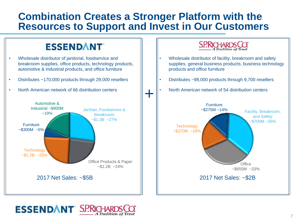### **Combination Creates a Stronger Platform with the Resources to Support and Invest in Our Customers**

# **ESSENDANT**

- Wholesale distributor of janitorial, foodservice and breakroom supplies, office products, technology products, automotive & industrial products, and office furniture
- Distributes ~170,000 products through 29,000 resellers
- North American network of 66 distribution centers





- Wholesale distributor of facility, breakroom and safety supplies, general business products, business technology products and office furniture
- Distributes ~98,000 products through 9,700 resellers
- North American network of 54 distribution centers



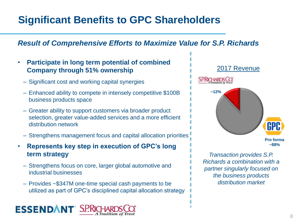# **Significant Benefits to GPC Shareholders**

#### *Result of Comprehensive Efforts to Maximize Value for S.P. Richards*

- **Participate in long term potential of combined Company through 51% ownership**
	- Significant cost and working capital synergies
	- Enhanced ability to compete in intensely competitive \$100B business products space
	- Greater ability to support customers via broader product selection, greater value-added services and a more efficient distribution network
	- Strengthens management focus and capital allocation priorities
- **Represents key step in execution of GPC's long term strategy**
	- Strengthens focus on core, larger global automotive and industrial businesses
	- Provides ~\$347M one-time special cash payments to be utilized as part of GPC's disciplined capital allocation strategy





*Transaction provides S.P. Richards a combination with a partner singularly focused on the business products distribution market*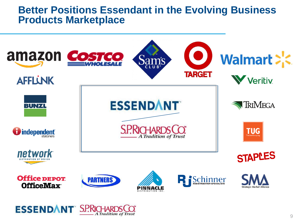#### **Better Positions Essendant in the Evolving Business Products Marketplace**

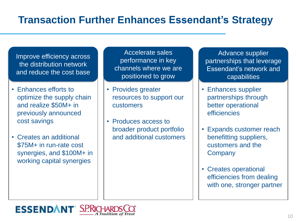# **Transaction Further Enhances Essendant's Strategy**

Improve efficiency across the distribution network and reduce the cost base

- Enhances efforts to optimize the supply chain and realize \$50M+ in previously announced cost savings
- Creates an additional \$75M+ in run-rate cost synergies, and \$100M+ in working capital synergies

Accelerate sales performance in key channels where we are positioned to grow

- Provides greater resources to support our customers
- Produces access to broader product portfolio and additional customers

Advance supplier partnerships that leverage Essendant's network and capabilities

- Enhances supplier partnerships through better operational efficiencies
- Expands customer reach benefitting suppliers, customers and the **Company**
- Creates operational efficiencies from dealing with one, stronger partner

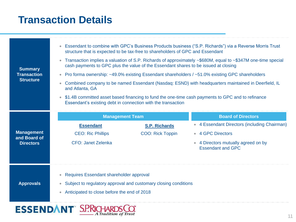# **Transaction Details**

| <b>Summary</b><br><b>Transaction</b><br><b>Structure</b> | Essendant to combine with GPC's Business Products business ("S.P. Richards") via a Reverse Morris Trust<br>$\bullet$<br>structure that is expected to be tax-free to shareholders of GPC and Essendant<br>Transaction implies a valuation of S.P. Richards of approximately ~\$680M, equal to ~\$347M one-time special<br>$\bullet$<br>cash payments to GPC plus the value of the Essendant shares to be issued at closing<br>Pro forma ownership: ~49.0% existing Essendant shareholders / ~51.0% existing GPC shareholders<br>$\bullet$<br>Combined company to be named Essendant (Nasdaq: ESND) with headquarters maintained in Deerfield, IL<br>and Atlanta, GA<br>\$1.4B committed asset based financing to fund the one-time cash payments to GPC and to refinance<br>$\bullet$<br>Essendant's existing debt in connection with the transaction |                                                 |                                                                                                                                                                                                |  |
|----------------------------------------------------------|-------------------------------------------------------------------------------------------------------------------------------------------------------------------------------------------------------------------------------------------------------------------------------------------------------------------------------------------------------------------------------------------------------------------------------------------------------------------------------------------------------------------------------------------------------------------------------------------------------------------------------------------------------------------------------------------------------------------------------------------------------------------------------------------------------------------------------------------------------|-------------------------------------------------|------------------------------------------------------------------------------------------------------------------------------------------------------------------------------------------------|--|
| <b>Management</b><br>and Board of<br><b>Directors</b>    | <b>Management Team</b><br><b>Essendant</b><br><b>CEO: Ric Phillips</b><br><b>CFO: Janet Zelenka</b>                                                                                                                                                                                                                                                                                                                                                                                                                                                                                                                                                                                                                                                                                                                                                   | <b>S.P. Richards</b><br><b>COO: Rick Toppin</b> | <b>Board of Directors</b><br>4 Essendant Directors (including Chairman)<br>$\bullet$<br><b>4 GPC Directors</b><br>$\bullet$<br>• 4 Directors mutually agreed on by<br><b>Essendant and GPC</b> |  |
| <b>Approvals</b>                                         | Requires Essendant shareholder approval<br>$\bullet$<br>Subject to regulatory approval and customary closing conditions<br>Anticipated to close before the end of 2018<br>$\bullet$                                                                                                                                                                                                                                                                                                                                                                                                                                                                                                                                                                                                                                                                   |                                                 |                                                                                                                                                                                                |  |
| <b>ESSENDANT S.P.RI</b>                                  |                                                                                                                                                                                                                                                                                                                                                                                                                                                                                                                                                                                                                                                                                                                                                                                                                                                       |                                                 |                                                                                                                                                                                                |  |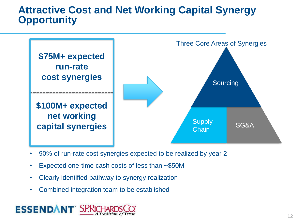### **Attractive Cost and Net Working Capital Synergy Opportunity**



- 90% of run-rate cost synergies expected to be realized by year 2
- Expected one-time cash costs of less than ~\$50M
- Clearly identified pathway to synergy realization
- Combined integration team to be established

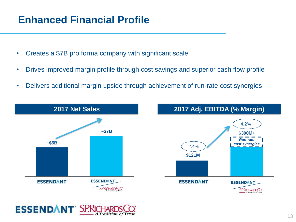# **Enhanced Financial Profile**

- Creates a \$7B pro forma company with significant scale
- Drives improved margin profile through cost savings and superior cash flow profile
- Delivers additional margin upside through achievement of run-rate cost synergies



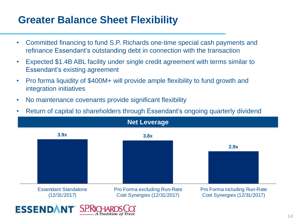# **Greater Balance Sheet Flexibility**

- Committed financing to fund S.P. Richards one-time special cash payments and refinance Essendant's outstanding debt in connection with the transaction
- Expected \$1.4B ABL facility under single credit agreement with terms similar to Essendant's existing agreement
- Pro forma liquidity of \$400M+ will provide ample flexibility to fund growth and integration initiatives
- No maintenance covenants provide significant flexibility
- Return of capital to shareholders through Essendant's ongoing quarterly dividend